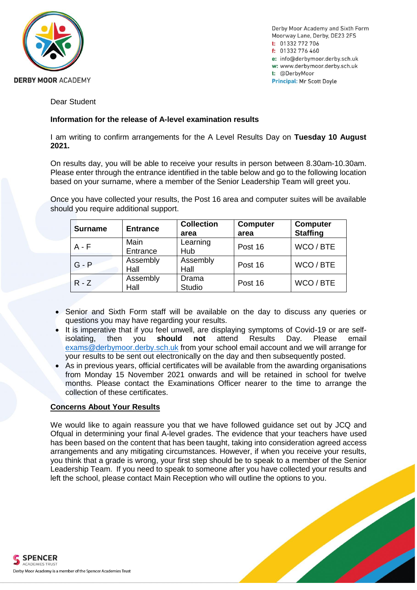

Derby Moor Academy and Sixth Form Moorway Lane, Derby, DE23 2FS t: 01332 772 706 f: 01332 776 460 e: info@derbymoor.derby.sch.uk w: www.derbymoor.derby.sch.uk t: @DerbyMoor **Principal: Mr Scott Doyle** 

Dear Student

# **Information for the release of A-level examination results**

I am writing to confirm arrangements for the A Level Results Day on **Tuesday 10 August 2021.**

On results day, you will be able to receive your results in person between 8.30am-10.30am. Please enter through the entrance identified in the table below and go to the following location based on your surname, where a member of the Senior Leadership Team will greet you.

Once you have collected your results, the Post 16 area and computer suites will be available should you require additional support.

| <b>Surname</b> | <b>Entrance</b>  | <b>Collection</b><br>area | <b>Computer</b><br>area | <b>Computer</b><br><b>Staffing</b> |
|----------------|------------------|---------------------------|-------------------------|------------------------------------|
| $A - F$        | Main<br>Entrance | Learning<br>Hub           | Post 16                 | WCO / BTE                          |
| $G - P$        | Assembly<br>Hall | Assembly<br>Hall          | Post 16                 | WCO / BTE                          |
| $R - Z$        | Assembly<br>Hall | Drama<br>Studio           | Post 16                 | WCO / BTE                          |

- Senior and Sixth Form staff will be available on the day to discuss any queries or questions you may have regarding your results.
- It is imperative that if you feel unwell, are displaying symptoms of Covid-19 or are selfisolating, then you **should not** attend Results Day. Please email [exams@derbymoor.derby.sch.uk](mailto:exams@derbymoor.derby.sch.uk) from your school email account and we will arrange for your results to be sent out electronically on the day and then subsequently posted.
- As in previous years, official certificates will be available from the awarding organisations from Monday 15 November 2021 onwards and will be retained in school for twelve months. Please contact the Examinations Officer nearer to the time to arrange the collection of these certificates.

## **Concerns About Your Results**

We would like to again reassure you that we have followed guidance set out by JCQ and Ofqual in determining your final A-level grades. The evidence that your teachers have used has been based on the content that has been taught, taking into consideration agreed access arrangements and any mitigating circumstances. However, if when you receive your results, you think that a grade is wrong, your first step should be to speak to a member of the Senior Leadership Team. If you need to speak to someone after you have collected your results and left the school, please contact Main Reception who will outline the options to you.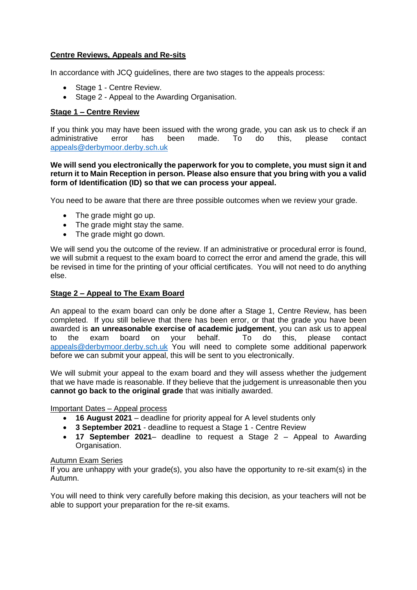# **Centre Reviews, Appeals and Re-sits**

In accordance with JCQ guidelines, there are two stages to the appeals process:

- Stage 1 Centre Review.
- Stage 2 Appeal to the Awarding Organisation.

## **Stage 1 – Centre Review**

If you think you may have been issued with the wrong grade, you can ask us to check if an administrative error has been made. To do this, please contact [appeals@derbymoor.derby.sch.uk](mailto:appeals@derbymoor.derby.sch.uk)

**We will send you electronically the paperwork for you to complete, you must sign it and return it to Main Reception in person. Please also ensure that you bring with you a valid form of Identification (ID) so that we can process your appeal.**

You need to be aware that there are three possible outcomes when we review your grade.

- The grade might go up.
- The grade might stay the same.
- The grade might go down.

We will send you the outcome of the review. If an administrative or procedural error is found, we will submit a request to the exam board to correct the error and amend the grade, this will be revised in time for the printing of your official certificates. You will not need to do anything else.

### **Stage 2 – Appeal to The Exam Board**

An appeal to the exam board can only be done after a Stage 1, Centre Review, has been completed. If you still believe that there has been error, or that the grade you have been awarded is **an unreasonable exercise of academic judgement**, you can ask us to appeal to the exam board on your behalf. To do this, please contact [appeals@derbymoor.derby.sch.uk](mailto:appeals@derbymoor.derby.sch.uk) You will need to complete some additional paperwork before we can submit your appeal, this will be sent to you electronically.

We will submit your appeal to the exam board and they will assess whether the judgement that we have made is reasonable. If they believe that the judgement is unreasonable then you **cannot go back to the original grade** that was initially awarded.

#### Important Dates – Appeal process

- **16 August 2021** deadline for priority appeal for A level students only
- **3 September 2021**  deadline to request a Stage 1 Centre Review
- **17 September 2021** deadline to request a Stage 2 Appeal to Awarding Organisation.

#### **Autumn Exam Series**

If you are unhappy with your grade(s), you also have the opportunity to re-sit exam(s) in the Autumn.

You will need to think very carefully before making this decision, as your teachers will not be able to support your preparation for the re-sit exams.